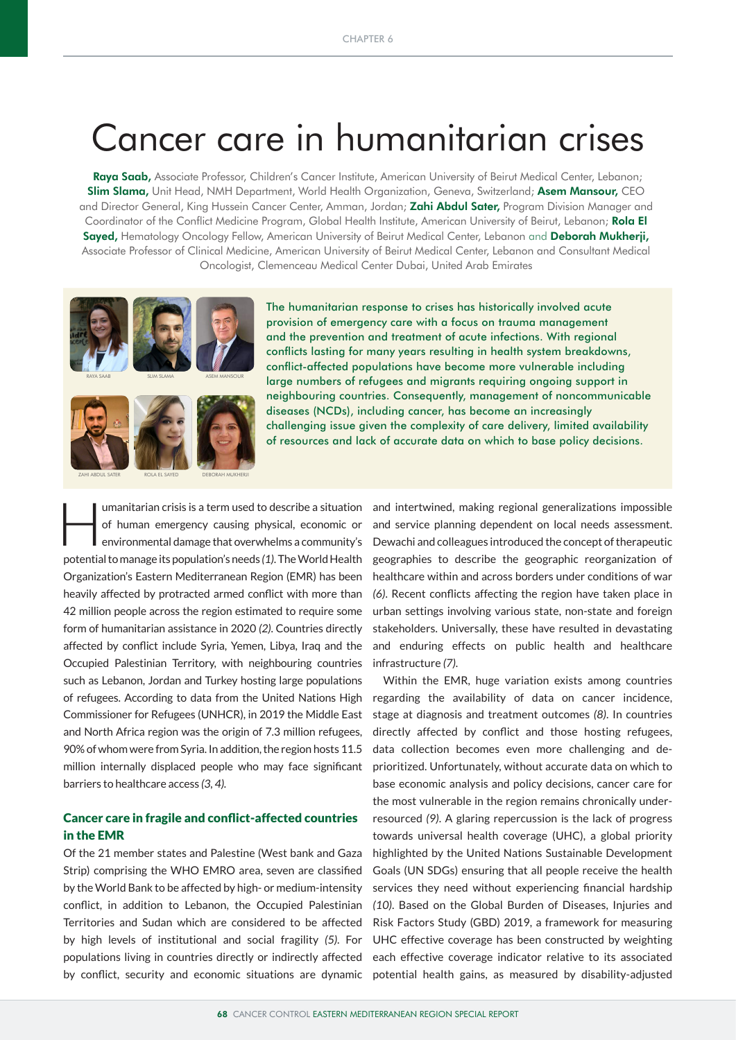# Cancer care in humanitarian crises

Raya Saab, Associate Professor, Children's Cancer Institute, American University of Beirut Medical Center, Lebanon; Slim Slama, Unit Head, NMH Department, World Health Organization, Geneva, Switzerland; Asem Mansour, CEO and Director General, King Hussein Cancer Center, Amman, Jordan; Zahi Abdul Sater, Program Division Manager and Coordinator of the Conflict Medicine Program, Global Health Institute, American University of Beirut, Lebanon; Rola El Sayed, Hematology Oncology Fellow, American University of Beirut Medical Center, Lebanon and Deborah Mukherji, Associate Professor of Clinical Medicine, American University of Beirut Medical Center, Lebanon and Consultant Medical Oncologist, Clemenceau Medical Center Dubai, United Arab Emirates





ZAHI ABDUL SATER ROLA EL SAYED DEBORAH MUKHERJI

The humanitarian response to crises has historically involved acute provision of emergency care with a focus on trauma management and the prevention and treatment of acute infections. With regional conflicts lasting for many years resulting in health system breakdowns, conflict-affected populations have become more vulnerable including large numbers of refugees and migrants requiring ongoing support in neighbouring countries. Consequently, management of noncommunicable diseases (NCDs), including cancer, has become an increasingly challenging issue given the complexity of care delivery, limited availability of resources and lack of accurate data on which to base policy decisions.

umanitarian crisis is a term used to describe a situation<br>of human emergency causing physical, economic or<br>environmental damage that overwhelms a community's of human emergency causing physical, economic or environmental damage that overwhelms a community's potential to manage its population's needs *(1)*. The World Health Organization's Eastern Mediterranean Region (EMR) has been heavily affected by protracted armed conflict with more than 42 million people across the region estimated to require some form of humanitarian assistance in 2020 *(2)*. Countries directly affected by conflict include Syria, Yemen, Libya, Iraq and the Occupied Palestinian Territory, with neighbouring countries such as Lebanon, Jordan and Turkey hosting large populations of refugees. According to data from the United Nations High Commissioner for Refugees (UNHCR), in 2019 the Middle East and North Africa region was the origin of 7.3 million refugees, 90% of whom were from Syria. In addition, the region hosts 11.5 million internally displaced people who may face significant barriers to healthcare access *(3, 4).*

# Cancer care in fragile and conflict-affected countries in the EMR

Of the 21 member states and Palestine (West bank and Gaza Strip) comprising the WHO EMRO area, seven are classified by the World Bank to be affected by high- or medium-intensity conflict, in addition to Lebanon, the Occupied Palestinian Territories and Sudan which are considered to be affected by high levels of institutional and social fragility *(5)*. For populations living in countries directly or indirectly affected and intertwined, making regional generalizations impossible and service planning dependent on local needs assessment. Dewachi and colleagues introduced the concept of therapeutic geographies to describe the geographic reorganization of healthcare within and across borders under conditions of war *(6)*. Recent conflicts affecting the region have taken place in urban settings involving various state, non-state and foreign stakeholders. Universally, these have resulted in devastating and enduring effects on public health and healthcare infrastructure *(7)*.

by conflict, security and economic situations are dynamic potential health gains, as measured by disability-adjusted Within the EMR, huge variation exists among countries regarding the availability of data on cancer incidence, stage at diagnosis and treatment outcomes *(8)*. In countries directly affected by conflict and those hosting refugees, data collection becomes even more challenging and deprioritized. Unfortunately, without accurate data on which to base economic analysis and policy decisions, cancer care for the most vulnerable in the region remains chronically underresourced *(9)*. A glaring repercussion is the lack of progress towards universal health coverage (UHC), a global priority highlighted by the United Nations Sustainable Development Goals (UN SDGs) ensuring that all people receive the health services they need without experiencing financial hardship *(10)*. Based on the Global Burden of Diseases, Injuries and Risk Factors Study (GBD) 2019, a framework for measuring UHC effective coverage has been constructed by weighting each effective coverage indicator relative to its associated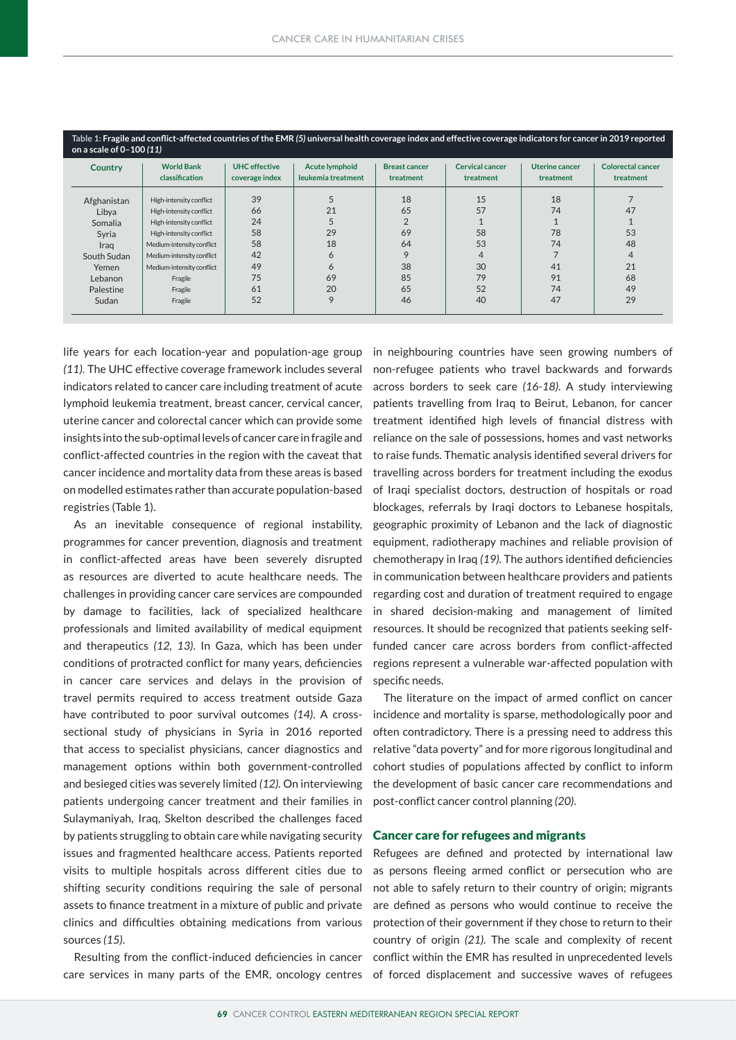| Country     | <b>World Bank</b><br>classification | <b>UHC</b> effective<br>coverage index | <b>Acute lymphoid</b><br>leukemia treatment | <b>Breast cancer</b><br>treatment | <b>Cervical cancer</b><br>treatment | <b>Uterine cancer</b><br>treatment | <b>Colorectal cancer</b><br>treatment |
|-------------|-------------------------------------|----------------------------------------|---------------------------------------------|-----------------------------------|-------------------------------------|------------------------------------|---------------------------------------|
| Afghanistan | High-intensity conflict             | 39                                     | 5                                           | 18                                | 15                                  | 18                                 |                                       |
| Libya       | High-intensity conflict             | 66                                     | 21                                          | 65                                | 57                                  | 74                                 | 47                                    |
| Somalia     | High-intensity conflict             | 24                                     |                                             | $\overline{2}$                    |                                     |                                    |                                       |
| Syria       | High-intensity conflict             | 58                                     | 29                                          | 69                                | 58                                  | 78                                 | 53                                    |
| Iraq        | Medium-intensity conflict           | 58                                     | 18                                          | 64                                | 53                                  | 74                                 | 48                                    |
| South Sudan | Medium-intensity conflict           | 42                                     | 6                                           | 9                                 | 4                                   |                                    | $\overline{4}$                        |
| Yemen       | Medium-intensity conflict           | 49                                     | $\circ$                                     | 38                                | 30                                  | 41                                 | 21                                    |
| Lebanon     | Fragile                             | 75                                     | 69                                          | 85                                | 79                                  | 91                                 | 68                                    |
| Palestine   | Fragile                             | 61                                     | 20                                          | 65                                | 52                                  | 74                                 | 49                                    |
| Sudan       | Fragile                             | 52                                     | 9                                           | 46                                | 40                                  | 47                                 | 29                                    |

life years for each location-year and population-age group in neighbouring countries have seen growing numbers of *(11).* The UHC effective coverage framework includes several indicators related to cancer care including treatment of acute lymphoid leukemia treatment, breast cancer, cervical cancer, uterine cancer and colorectal cancer which can provide some insights into the sub-optimal levels of cancer care in fragile and conflict-affected countries in the region with the caveat that cancer incidence and mortality data from these areas is based on modelled estimates rather than accurate population-based registries (Table 1).

As an inevitable consequence of regional instability, programmes for cancer prevention, diagnosis and treatment in conflict-affected areas have been severely disrupted as resources are diverted to acute healthcare needs. The challenges in providing cancer care services are compounded by damage to facilities, lack of specialized healthcare professionals and limited availability of medical equipment and therapeutics *(12, 13)*. In Gaza, which has been under conditions of protracted conflict for many years, deficiencies in cancer care services and delays in the provision of travel permits required to access treatment outside Gaza have contributed to poor survival outcomes *(14)*. A crosssectional study of physicians in Syria in 2016 reported that access to specialist physicians, cancer diagnostics and management options within both government-controlled and besieged cities was severely limited *(12).* On interviewing patients undergoing cancer treatment and their families in Sulaymaniyah, Iraq, Skelton described the challenges faced by patients struggling to obtain care while navigating security issues and fragmented healthcare access. Patients reported visits to multiple hospitals across different cities due to shifting security conditions requiring the sale of personal assets to finance treatment in a mixture of public and private clinics and difficulties obtaining medications from various sources *(15)*.

Resulting from the conflict-induced deficiencies in cancer

non-refugee patients who travel backwards and forwards across borders to seek care *(16-18)*. A study interviewing patients travelling from Iraq to Beirut, Lebanon, for cancer treatment identified high levels of financial distress with reliance on the sale of possessions, homes and vast networks to raise funds. Thematic analysis identified several drivers for travelling across borders for treatment including the exodus of Iraqi specialist doctors, destruction of hospitals or road blockages, referrals by Iraqi doctors to Lebanese hospitals, geographic proximity of Lebanon and the lack of diagnostic equipment, radiotherapy machines and reliable provision of chemotherapy in Iraq *(19).* The authors identified deficiencies in communication between healthcare providers and patients regarding cost and duration of treatment required to engage in shared decision-making and management of limited resources. It should be recognized that patients seeking selffunded cancer care across borders from conflict-affected regions represent a vulnerable war-affected population with specific needs.

The literature on the impact of armed conflict on cancer incidence and mortality is sparse, methodologically poor and often contradictory. There is a pressing need to address this relative "data poverty" and for more rigorous longitudinal and cohort studies of populations affected by conflict to inform the development of basic cancer care recommendations and post-conflict cancer control planning *(20)*.

## Cancer care for refugees and migrants

Refugees are defined and protected by international law as persons fleeing armed conflict or persecution who are not able to safely return to their country of origin; migrants are defined as persons who would continue to receive the protection of their government if they chose to return to their country of origin *(21).* The scale and complexity of recent conflict within the EMR has resulted in unprecedented levels care services in many parts of the EMR, oncology centres of forced displacement and successive waves of refugees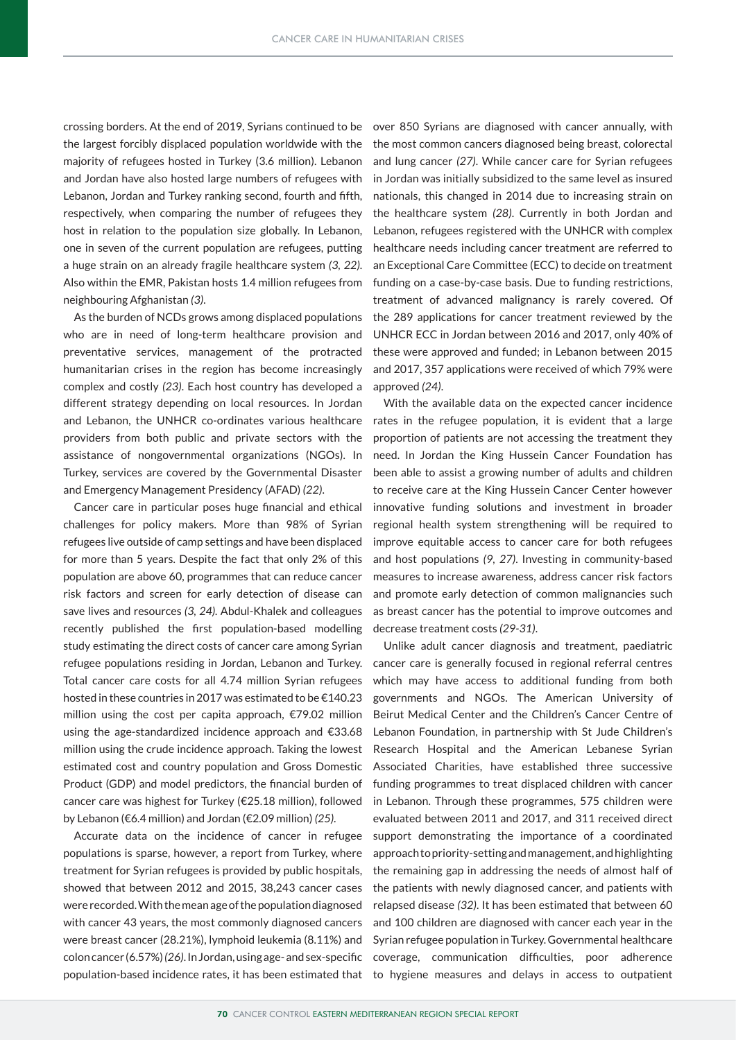crossing borders. At the end of 2019, Syrians continued to be the largest forcibly displaced population worldwide with the majority of refugees hosted in Turkey (3.6 million). Lebanon and Jordan have also hosted large numbers of refugees with Lebanon, Jordan and Turkey ranking second, fourth and fifth, respectively, when comparing the number of refugees they host in relation to the population size globally. In Lebanon, one in seven of the current population are refugees, putting a huge strain on an already fragile healthcare system *(3, 22)*. Also within the EMR, Pakistan hosts 1.4 million refugees from neighbouring Afghanistan *(3)*.

As the burden of NCDs grows among displaced populations who are in need of long-term healthcare provision and preventative services, management of the protracted humanitarian crises in the region has become increasingly complex and costly *(23)*. Each host country has developed a different strategy depending on local resources. In Jordan and Lebanon, the UNHCR co-ordinates various healthcare providers from both public and private sectors with the assistance of nongovernmental organizations (NGOs). In Turkey, services are covered by the Governmental Disaster and Emergency Management Presidency (AFAD) *(22)*.

Cancer care in particular poses huge financial and ethical challenges for policy makers. More than 98% of Syrian refugees live outside of camp settings and have been displaced for more than 5 years. Despite the fact that only 2% of this population are above 60, programmes that can reduce cancer risk factors and screen for early detection of disease can save lives and resources *(3, 24).* Abdul-Khalek and colleagues recently published the first population-based modelling study estimating the direct costs of cancer care among Syrian refugee populations residing in Jordan, Lebanon and Turkey. Total cancer care costs for all 4.74 million Syrian refugees hosted in these countries in 2017 was estimated to be €140.23 million using the cost per capita approach, €79.02 million using the age-standardized incidence approach and €33.68 million using the crude incidence approach. Taking the lowest estimated cost and country population and Gross Domestic Product (GDP) and model predictors, the financial burden of cancer care was highest for Turkey (€25.18 million), followed by Lebanon (€6.4 million) and Jordan (€2.09 million) *(25)*.

Accurate data on the incidence of cancer in refugee populations is sparse, however, a report from Turkey, where treatment for Syrian refugees is provided by public hospitals, showed that between 2012 and 2015, 38,243 cancer cases were recorded. With the mean age of the population diagnosed with cancer 43 years, the most commonly diagnosed cancers were breast cancer (28.21%), lymphoid leukemia (8.11%) and colon cancer (6.57%) *(26)*. In Jordan, using age- and sex-specific population-based incidence rates, it has been estimated that

over 850 Syrians are diagnosed with cancer annually, with the most common cancers diagnosed being breast, colorectal and lung cancer *(27)*. While cancer care for Syrian refugees in Jordan was initially subsidized to the same level as insured nationals, this changed in 2014 due to increasing strain on the healthcare system *(28)*. Currently in both Jordan and Lebanon, refugees registered with the UNHCR with complex healthcare needs including cancer treatment are referred to an Exceptional Care Committee (ECC) to decide on treatment funding on a case-by-case basis. Due to funding restrictions, treatment of advanced malignancy is rarely covered. Of the 289 applications for cancer treatment reviewed by the UNHCR ECC in Jordan between 2016 and 2017, only 40% of these were approved and funded; in Lebanon between 2015 and 2017, 357 applications were received of which 79% were approved *(24)*.

With the available data on the expected cancer incidence rates in the refugee population, it is evident that a large proportion of patients are not accessing the treatment they need. In Jordan the King Hussein Cancer Foundation has been able to assist a growing number of adults and children to receive care at the King Hussein Cancer Center however innovative funding solutions and investment in broader regional health system strengthening will be required to improve equitable access to cancer care for both refugees and host populations *(9, 27)*. Investing in community-based measures to increase awareness, address cancer risk factors and promote early detection of common malignancies such as breast cancer has the potential to improve outcomes and decrease treatment costs *(29-31)*.

Unlike adult cancer diagnosis and treatment, paediatric cancer care is generally focused in regional referral centres which may have access to additional funding from both governments and NGOs. The American University of Beirut Medical Center and the Children's Cancer Centre of Lebanon Foundation, in partnership with St Jude Children's Research Hospital and the American Lebanese Syrian Associated Charities, have established three successive funding programmes to treat displaced children with cancer in Lebanon. Through these programmes, 575 children were evaluated between 2011 and 2017, and 311 received direct support demonstrating the importance of a coordinated approach to priority-setting and management, and highlighting the remaining gap in addressing the needs of almost half of the patients with newly diagnosed cancer, and patients with relapsed disease *(32)*. It has been estimated that between 60 and 100 children are diagnosed with cancer each year in the Syrian refugee population in Turkey. Governmental healthcare coverage, communication difficulties, poor adherence to hygiene measures and delays in access to outpatient